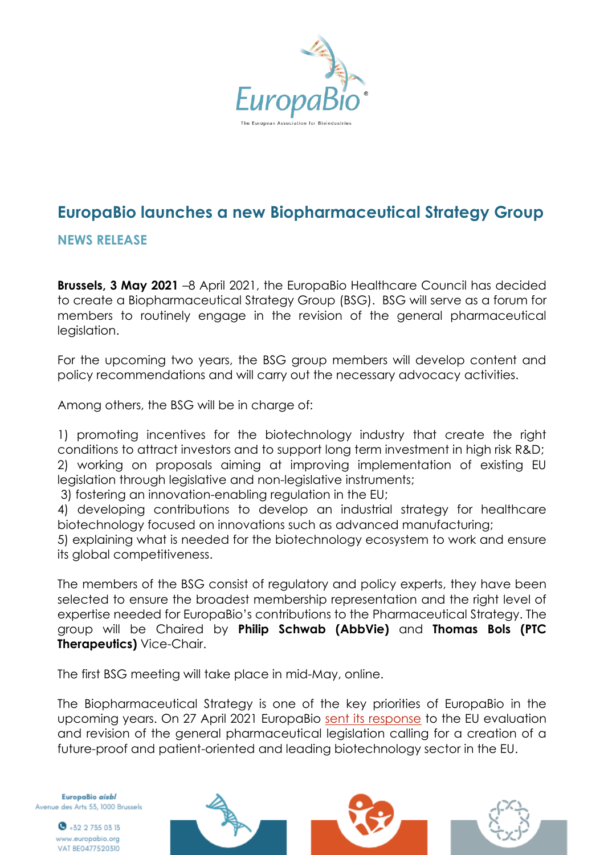

## **EuropaBio launches a new Biopharmaceutical Strategy Group**

## **NEWS RELEASE**

**Brussels, 3 May 2021** –8 April 2021, the EuropaBio Healthcare Council has decided to create a Biopharmaceutical Strategy Group (BSG). BSG will serve as a forum for members to routinely engage in the revision of the general pharmaceutical legislation.

For the upcoming two years, the BSG group members will develop content and policy recommendations and will carry out the necessary advocacy activities.

Among others, the BSG will be in charge of:

1) promoting incentives for the biotechnology industry that create the right conditions to attract investors and to support long term investment in high risk R&D; 2) working on proposals aiming at improving implementation of existing EU legislation through legislative and non-legislative instruments;

3) fostering an innovation-enabling regulation in the EU;

4) developing contributions to develop an industrial strategy for healthcare biotechnology focused on innovations such as advanced manufacturing;

5) explaining what is needed for the biotechnology ecosystem to work and ensure its global competitiveness.

The members of the BSG consist of regulatory and policy experts, they have been selected to ensure the broadest membership representation and the right level of expertise needed for EuropaBio's contributions to the Pharmaceutical Strategy. The group will be Chaired by **Philip Schwab (AbbVie)** and **Thomas Bols (PTC Therapeutics)** Vice-Chair.

The first BSG meeting will take place in mid-May, online.

The Biopharmaceutical Strategy is one of the key priorities of EuropaBio in the upcoming years. On 27 April 2021 EuropaBio [sent its response](https://ec.europa.eu/info/law/better-regulation/have-your-say/initiatives/12963-Revision-of-the-EU-general-pharmaceuticals-legislation/F2246664) to the EU evaluation and revision of the general pharmaceutical legislation calling for a creation of a future-proof and patient-oriented and leading biotechnology sector in the EU.

EuropaBio aisbl Avenue des Arts 53, 1000 Brussels

> $\bullet$  +32 2 735 03 13 www.europabio.org VAT BE0477520310